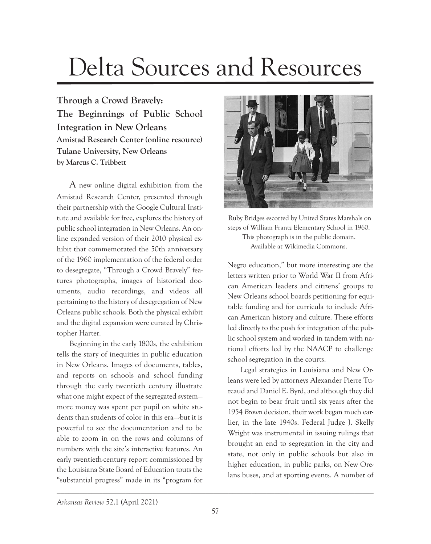## Delta Sources and Resources

**Through a Crowd Bravely: The Beginnings of Public School Integration in New Orleans Amistad Research Center (online resource) Tulane University, New Orleans by Marcus C. Tribbett**

A new online digital exhibition from the Amistad Research Center, presented through their partnership with the Google Cultural Institute and available for free, explores the history of public school integration in New Orleans. An online expanded version of their 2010 physical exhibit that commemorated the 50th anniversary of the 1960 implementation of the federal order to desegregate, "Through a Crowd Bravely" features photographs, images of historical documents, audio recordings, and videos all pertaining to the history of desegregation of New Orleans public schools. Both the physical exhibit and the digital expansion were curated by Christopher Harter.

Beginning in the early 1800s, the exhibition tells the story of inequities in public education in New Orleans. Images of documents, tables, and reports on schools and school funding through the early twentieth century illustrate what one might expect of the segregated system more money was spent per pupil on white students than students of color in this era—-but it is powerful to see the documentation and to be able to zoom in on the rows and columns of numbers with the site's interactive features. An early twentieth-century report commissioned by the Louisiana State Board of Education touts the "substantial progress" made in its "program for



 Ruby Bridges escorted by United States Marshals on steps of William Frantz Elementary School in 1960. This photograph is in the public domain. Available at Wikimedia Commons.

Negro education," but more interesting are the letters written prior to World War II from African American leaders and citizens' groups to New Orleans school boards petitioning for equitable funding and for curricula to include African American history and culture. These efforts led directly to the push for integration of the public school system and worked in tandem with national efforts led by the NAACP to challenge school segregation in the courts.

Legal strategies in Louisiana and New Orleans were led by attorneys Alexander Pierre Tureaud and Daniel E. Byrd, and although they did not begin to bear fruit until six years after the 1954 *Brown* decision, their work began much earlier, in the late 1940s. Federal Judge J. Skelly Wright was instrumental in issuing rulings that brought an end to segregation in the city and state, not only in public schools but also in higher education, in public parks, on New Orelans buses, and at sporting events. A number of

\_\_\_\_\_\_\_\_\_\_\_\_\_\_\_\_\_\_\_\_\_\_\_\_\_\_\_\_\_\_\_\_\_\_\_\_\_\_\_\_\_\_\_\_\_\_\_\_\_\_\_\_\_\_\_\_\_\_\_\_\_\_\_\_\_\_\_\_\_\_\_\_\_\_\_\_\_\_\_\_\_\_\_